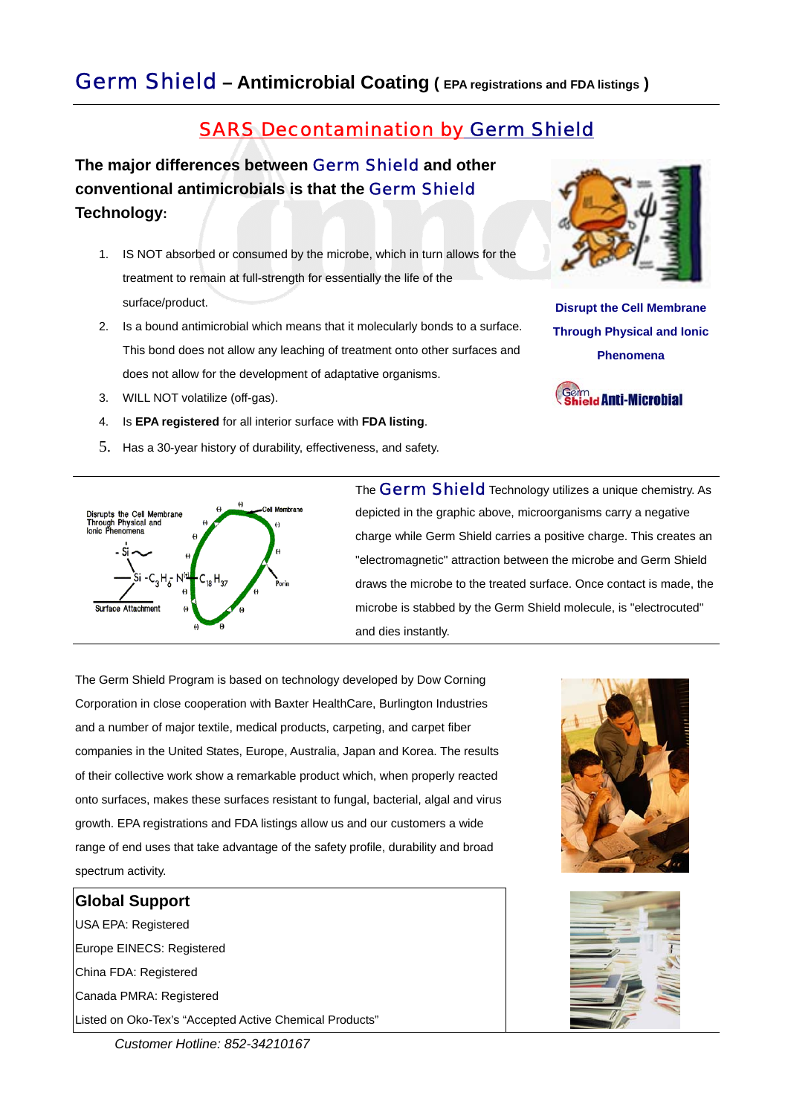## *Germ Shield* **– Antimicrobial Coating ( EPA registrations and FDA listings )**

# *SARS Decontamination by Germ Shield*

**The major differences between** *Germ Shield* **and other conventional antimicrobials is that the** *Germ Shield* **Technology:** 

- 1. IS NOT absorbed or consumed by the microbe, which in turn allows for the treatment to remain at full-strength for essentially the life of the surface/product.
- 2. Is a bound antimicrobial which means that it molecularly bonds to a surface. This bond does not allow any leaching of treatment onto other surfaces and does not allow for the development of adaptative organisms.
- 3. WILL NOT volatilize (off-gas).
- 4. Is **EPA registered** for all interior surface with **FDA listing**.
- 5. Has a 30-year history of durability, effectiveness, and safety.



**Disrupt the Cell Membrane Through Physical and Ionic Phenomena** 





The *Germ Shield* Technology utilizes a unique chemistry. As depicted in the graphic above, microorganisms carry a negative charge while Germ Shield carries a positive charge. This creates an "electromagnetic" attraction between the microbe and Germ Shield draws the microbe to the treated surface. Once contact is made, the microbe is stabbed by the Germ Shield molecule, is "electrocuted" and dies instantly.

The Germ Shield Program is based on technology developed by Dow Corning Corporation in close cooperation with Baxter HealthCare, Burlington Industries and a number of major textile, medical products, carpeting, and carpet fiber companies in the United States, Europe, Australia, Japan and Korea. The results of their collective work show a remarkable product which, when properly reacted onto surfaces, makes these surfaces resistant to fungal, bacterial, algal and virus growth. EPA registrations and FDA listings allow us and our customers a wide range of end uses that take advantage of the safety profile, durability and broad spectrum activity.

#### **Global Support**

USA EPA: Registered Europe EINECS: Registered China FDA: Registered Canada PMRA: Registered Listed on Oko-Tex's "Accepted Active Chemical Products"





 *Customer Hotline: 852-34210167*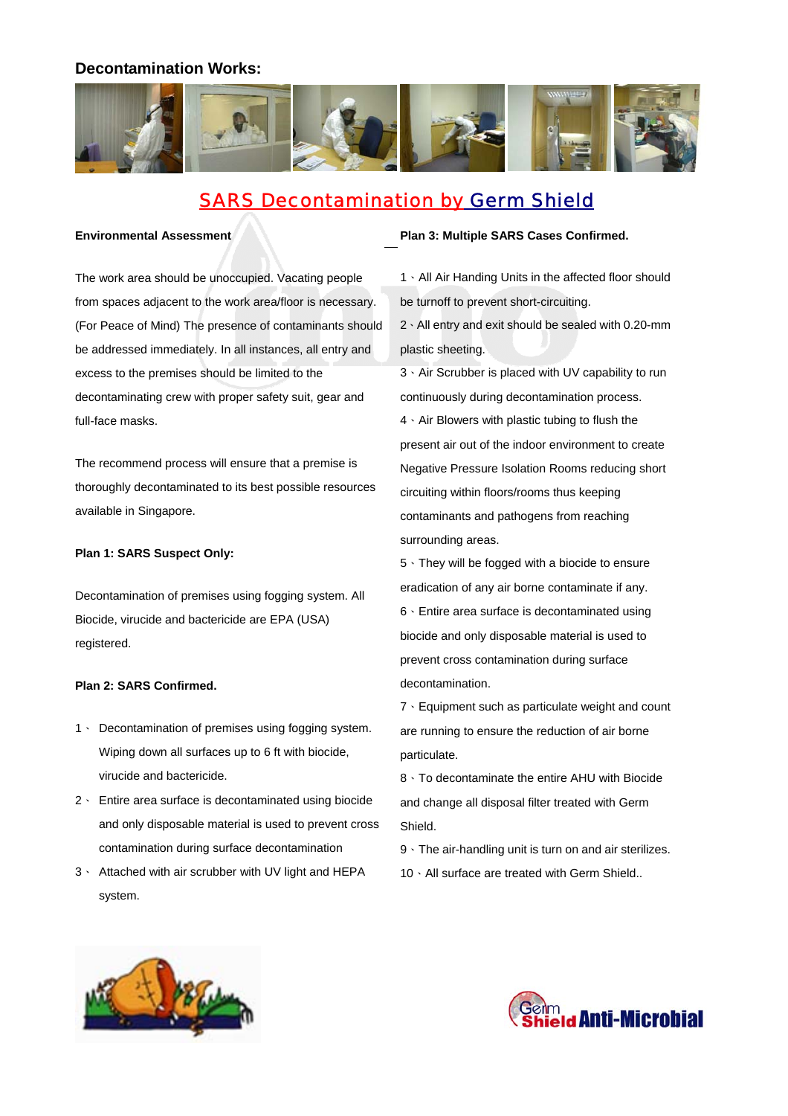## **Decontamination Works:**



# *SARS Decontamination by Germ Shield*

#### **Environmental Assessment**

The work area should be unoccupied. Vacating people from spaces adjacent to the work area/floor is necessary. (For Peace of Mind) The presence of contaminants should be addressed immediately. In all instances, all entry and excess to the premises should be limited to the decontaminating crew with proper safety suit, gear and full-face masks.

The recommend process will ensure that a premise is thoroughly decontaminated to its best possible resources available in Singapore.

#### **Plan 1: SARS Suspect Only:**

Decontamination of premises using fogging system. All Biocide, virucide and bactericide are EPA (USA) registered.

#### **Plan 2: SARS Confirmed.**

- 1、 Decontamination of premises using fogging system. Wiping down all surfaces up to 6 ft with biocide, virucide and bactericide.
- 2、 Entire area surface is decontaminated using biocide and only disposable material is used to prevent cross contamination during surface decontamination
- 3、 Attached with air scrubber with UV light and HEPA system.

#### **Plan 3: Multiple SARS Cases Confirmed.**

- 1、All Air Handing Units in the affected floor should be turnoff to prevent short-circuiting.
- 2、All entry and exit should be sealed with 0.20-mm plastic sheeting.
- 3、Air Scrubber is placed with UV capability to run continuously during decontamination process. 4、Air Blowers with plastic tubing to flush the present air out of the indoor environment to create Negative Pressure Isolation Rooms reducing short circuiting within floors/rooms thus keeping contaminants and pathogens from reaching surrounding areas.

5、They will be fogged with a biocide to ensure eradication of any air borne contaminate if any. 6、Entire area surface is decontaminated using biocide and only disposable material is used to prevent cross contamination during surface decontamination.

7、Equipment such as particulate weight and count are running to ensure the reduction of air borne particulate.

- 8、To decontaminate the entire AHU with Biocide and change all disposal filter treated with Germ Shield.
- 9、The air-handling unit is turn on and air sterilizes.
- 10 · All surface are treated with Germ Shield..



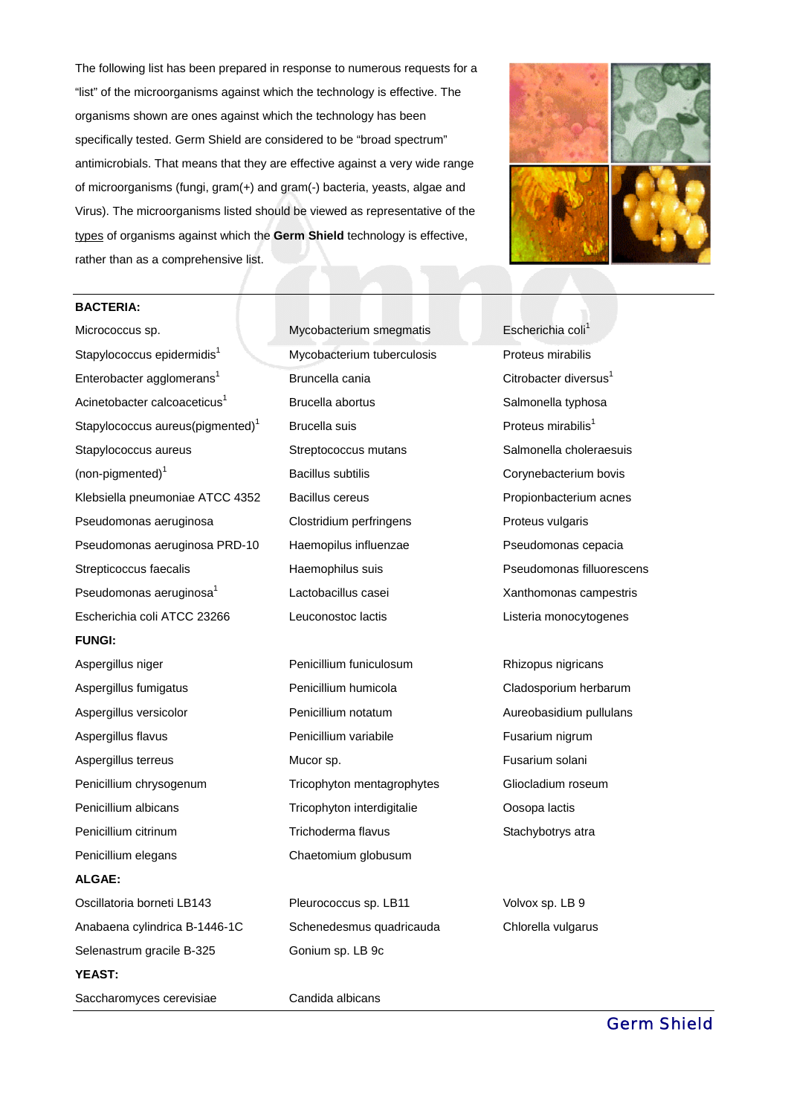The following list has been prepared in response to numerous requests for a "list" of the microorganisms against which the technology is effective. The organisms shown are ones against which the technology has been specifically tested. Germ Shield are considered to be "broad spectrum" antimicrobials. That means that they are effective against a very wide range of microorganisms (fungi, gram(+) and gram(-) bacteria, yeasts, algae and Virus). The microorganisms listed should be viewed as representative of the types of organisms against which the **Germ Shield** technology is effective, rather than as a comprehensive list.



#### **BACTERIA:**

Micrococcus sp. Stapylococcus epidermidis<sup>1</sup> Enterobacter agglomerans $^1$ Acinetobacter calcoaceticus<sup>1</sup> Stapylococcus aureus(pigmented)<sup>1</sup> Stapylococcus aureus  $(non-pigmented)^1$ Klebsiella pneumoniae ATCC 4352 Pseudomonas aeruginosa Pseudomonas aeruginosa PRD-10 Strepticoccus faecalis Pseudomonas aeruginosa $^1$ Escherichia coli ATCC 23266 Leuconostoc lactis **FUNGI:** Aspergillus niger Aspergillus fumigatus Aspergillus versicolor Aspergillus flavus Aspergillus terreus Penicillium chrysogenum Penicillium albicans Penicillium citrinum Penicillium elegans **ALGAE:** Oscillatoria borneti LB143 Anabaena cylindrica B-1446-1C Selenastrum gracile B-325

**YEAST:** 

Saccharomyces cerevisiae Candida albicans

Mycobacterium smegmatis Mycobacterium tuberculosis Bruncella cania Brucella abortus Brucella suis Streptococcus mutans Bacillus subtilis Bacillus cereus Clostridium perfringens Haemopilus influenzae Haemophilus suis Lactobacillus casei

Penicillium funiculosum Penicillium humicola Penicillium notatum Penicillium variabile Mucor sp. Tricophyton mentagrophytes Tricophyton interdigitalie Trichoderma flavus Chaetomium globusum

Pleurococcus sp. LB11 Schenedesmus quadricauda Gonium sp. LB 9c

Escherichia coli<sup>1</sup> Proteus mirabilis Citrobacter diversus<sup>1</sup> Salmonella typhosa Proteus mirabilis $<sup>1</sup>$ </sup> Salmonella choleraesuis Corynebacterium bovis Propionbacterium acnes Proteus vulgaris Pseudomonas cepacia Pseudomonas filluorescens Xanthomonas campestris Listeria monocytogenes

Rhizopus nigricans Cladosporium herbarum Aureobasidium pullulans Fusarium nigrum Fusarium solani Gliocladium roseum Oosopa lactis Stachybotrys atra

Volvox sp. LB 9 Chlorella vulgarus